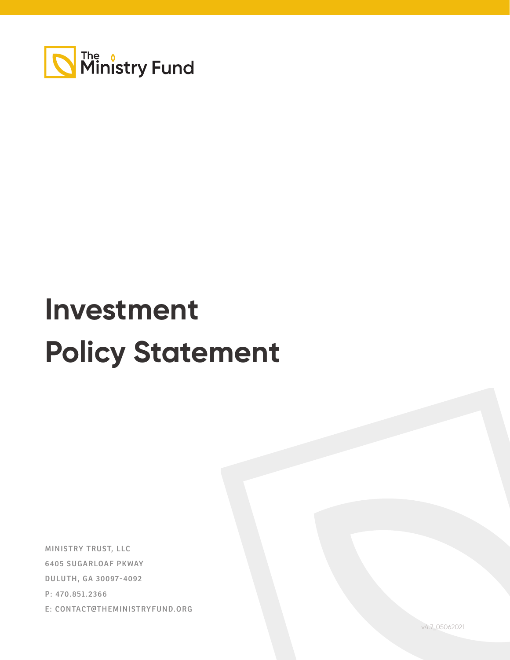

# **Investment Policy Statement**

**MINISTRY TRUST, LLC 6405 SUGARLOAF PKWAY DULUTH, GA 30097-4092 P: 470.851.2366 E: CONTACT@THEMINISTRYFUND.ORG**

v4.7\_05062021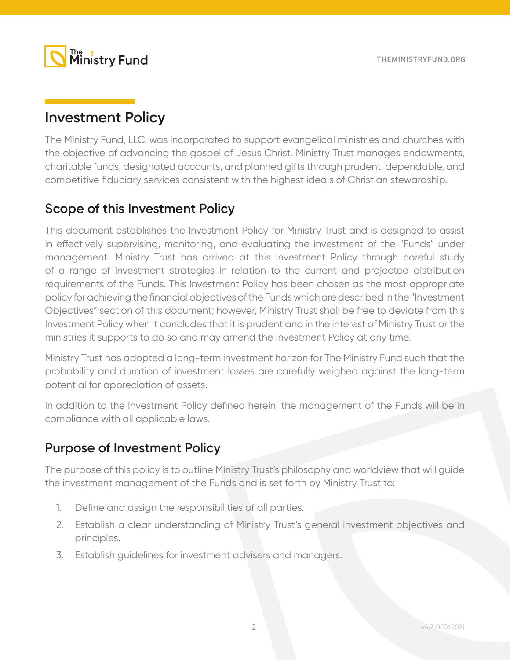

# **Investment Policy**

The Ministry Fund, LLC. was incorporated to support evangelical ministries and churches with the objective of advancing the gospel of Jesus Christ. Ministry Trust manages endowments, charitable funds, designated accounts, and planned gifts through prudent, dependable, and competitive fiduciary services consistent with the highest ideals of Christian stewardship.

### **Scope of this Investment Policy**

This document establishes the Investment Policy for Ministry Trust and is designed to assist in effectively supervising, monitoring, and evaluating the investment of the "Funds" under management. Ministry Trust has arrived at this Investment Policy through careful study of a range of investment strategies in relation to the current and projected distribution requirements of the Funds. This Investment Policy has been chosen as the most appropriate policy for achieving the financial objectives of the Funds which are described in the "Investment Objectives" section of this document; however, Ministry Trust shall be free to deviate from this Investment Policy when it concludes that it is prudent and in the interest of Ministry Trust or the ministries it supports to do so and may amend the Investment Policy at any time.

Ministry Trust has adopted a long-term investment horizon for The Ministry Fund such that the probability and duration of investment losses are carefully weighed against the long-term potential for appreciation of assets.

In addition to the Investment Policy defined herein, the management of the Funds will be in compliance with all applicable laws.

### **Purpose of Investment Policy**

The purpose of this policy is to outline Ministry Trust's philosophy and worldview that will guide the investment management of the Funds and is set forth by Ministry Trust to:

- 1. Define and assign the responsibilities of all parties.
- 2. Establish a clear understanding of Ministry Trust's general investment objectives and principles.
- 3. Establish guidelines for investment advisers and managers.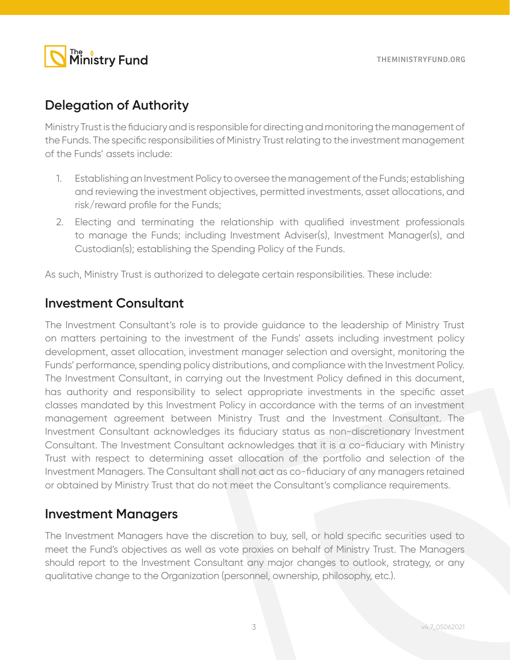

### **Delegation of Authority**

Ministry Trust is the fiduciary and is responsible for directing and monitoring the management of the Funds. The specific responsibilities of Ministry Trust relating to the investment management of the Funds' assets include:

- 1. Establishing an Investment Policy to oversee the management of the Funds; establishing and reviewing the investment objectives, permitted investments, asset allocations, and risk/reward profile for the Funds;
- 2. Electing and terminating the relationship with qualified investment professionals to manage the Funds; including Investment Adviser(s), Investment Manager(s), and Custodian(s); establishing the Spending Policy of the Funds.

As such, Ministry Trust is authorized to delegate certain responsibilities. These include:

### **Investment Consultant**

The Investment Consultant's role is to provide guidance to the leadership of Ministry Trust on matters pertaining to the investment of the Funds' assets including investment policy development, asset allocation, investment manager selection and oversight, monitoring the Funds' performance, spending policy distributions, and compliance with the Investment Policy. The Investment Consultant, in carrying out the Investment Policy defined in this document, has authority and responsibility to select appropriate investments in the specific asset classes mandated by this Investment Policy in accordance with the terms of an investment management agreement between Ministry Trust and the Investment Consultant. The Investment Consultant acknowledges its fiduciary status as non-discretionary Investment Consultant. The Investment Consultant acknowledges that it is a co-fiduciary with Ministry Trust with respect to determining asset allocation of the portfolio and selection of the Investment Managers. The Consultant shall not act as co-fiduciary of any managers retained or obtained by Ministry Trust that do not meet the Consultant's compliance requirements.

### **Investment Managers**

The Investment Managers have the discretion to buy, sell, or hold specific securities used to meet the Fund's objectives as well as vote proxies on behalf of Ministry Trust. The Managers should report to the Investment Consultant any major changes to outlook, strategy, or any qualitative change to the Organization (personnel, ownership, philosophy, etc.).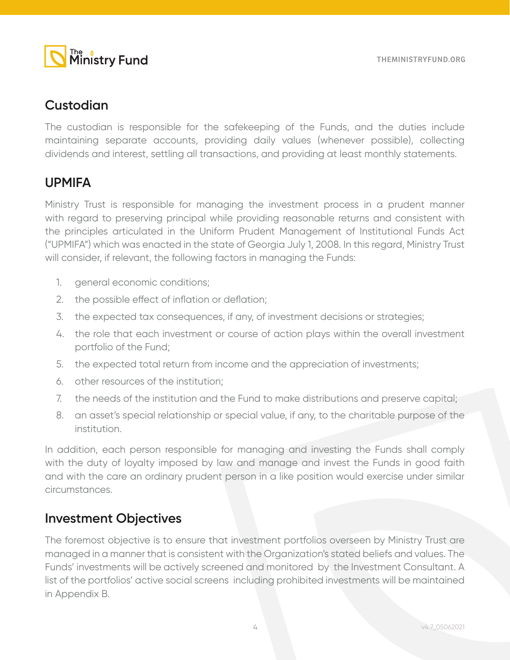

### **Custodian**

The custodian is responsible for the safekeeping of the Funds, and the duties include maintaining separate accounts, providing daily values (whenever possible), collecting dividends and interest, settling all transactions, and providing at least monthly statements.

# **UPMIFA**

Ministry Trust is responsible for managing the investment process in a prudent manner with regard to preserving principal while providing reasonable returns and consistent with the principles articulated in the Uniform Prudent Management of Institutional Funds Act ("UPMIFA") which was enacted in the state of Georgia July 1, 2008. In this regard, Ministry Trust will consider, if relevant, the following factors in managing the Funds:

- 1. general economic conditions;
- 2. the possible effect of inflation or deflation;
- 3. the expected tax consequences, if any, of investment decisions or strategies;
- 4. the role that each investment or course of action plays within the overall investment portfolio of the Fund;
- 5. the expected total return from income and the appreciation of investments;
- 6. other resources of the institution;
- 7. the needs of the institution and the Fund to make distributions and preserve capital;
- 8. an asset's special relationship or special value, if any, to the charitable purpose of the institution.

In addition, each person responsible for managing and investing the Funds shall comply with the duty of loyalty imposed by law and manage and invest the Funds in good faith and with the care an ordinary prudent person in a like position would exercise under similar circumstances.

### **Investment Objectives**

The foremost objective is to ensure that investment portfolios overseen by Ministry Trust are managed in a manner that is consistent with the Organization's stated beliefs and values. The Funds' investments will be actively screened and monitored by the Investment Consultant. A list of the portfolios' active social screens including prohibited investments will be maintained in Appendix B.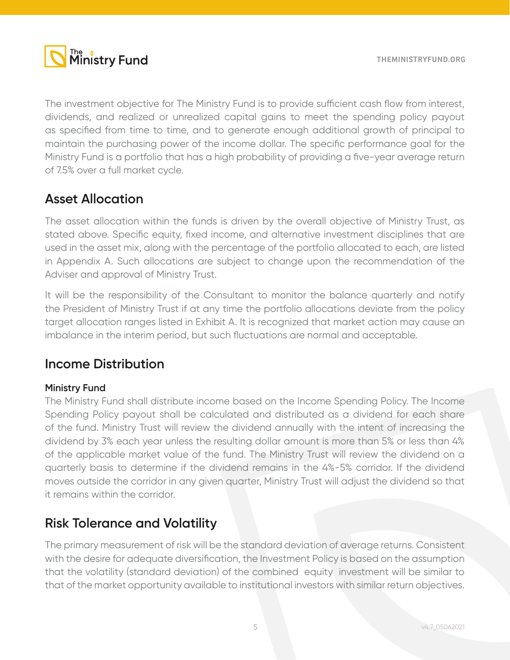

The investment objective for The Ministry Fund is to provide sufficient cash flow from interest, dividends, and realized or unrealized capital gains to meet the spending policy payout as specified from time to time, and to generate enough additional growth of principal to maintain the purchasing power of the income dollar. The specific performance goal for the Ministry Fund is a portfolio that has a high probability of providing a five-year average return of 7.5% over a full market cycle.

### **Asset Allocation**

The asset allocation within the funds is driven by the overall objective of Ministry Trust, as stated above. Specific equity, fixed income, and alternative investment disciplines that are used in the asset mix, along with the percentage of the portfolio allocated to each, are listed in Appendix A. Such allocations are subject to change upon the recommendation of the Adviser and approval of Ministry Trust.

It will be the responsibility of the Consultant to monitor the balance quarterly and notify the President of Ministry Trust if at any time the portfolio allocations deviate from the policy target allocation ranges listed in Exhibit A. It is recognized that market action may cause an imbalance in the interim period, but such fluctuations are normal and acceptable.

### **Income Distribution**

### **Ministry Fund**

The Ministry Fund shall distribute income based on the Income Spending Policy. The Income Spending Policy payout shall be calculated and distributed as a dividend for each share of the fund. Ministry Trust will review the dividend annually with the intent of increasing the dividend by 3% each year unless the resulting dollar amount is more than 5% or less than 4% of the applicable market value of the fund. The Ministry Trust will review the dividend on a quarterly basis to determine if the dividend remains in the 4%-5% corridor. If the dividend moves outside the corridor in any given quarter, Ministry Trust will adjust the dividend so that it remains within the corridor.

### **Risk Tolerance and Volatility**

The primary measurement of risk will be the standard deviation of average returns. Consistent with the desire for adequate diversification, the Investment Policy is based on the assumption that the volatility (standard deviation) of the combined equity investment will be similar to that of the market opportunity available to institutional investors with similar return objectives.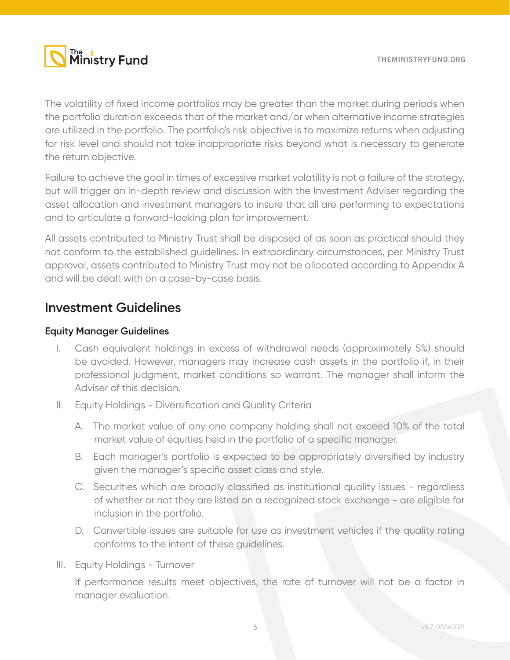

The volatility of fixed income portfolios may be greater than the market during periods when the portfolio duration exceeds that of the market and/or when alternative income strategies are utilized in the portfolio. The portfolio's risk objective is to maximize returns when adjusting for risk level and should not take inappropriate risks beyond what is necessary to generate the return objective.

Failure to achieve the goal in times of excessive market volatility is not a failure of the strategy, but will trigger an in-depth review and discussion with the Investment Adviser regarding the asset allocation and investment managers to insure that all are performing to expectations and to articulate a forward-looking plan for improvement.

All assets contributed to Ministry Trust shall be disposed of as soon as practical should they not conform to the established guidelines. In extraordinary circumstances, per Ministry Trust approval, assets contributed to Ministry Trust may not be allocated according to Appendix A and will be dealt with on a case-by-case basis.

### **Investment Guidelines**

#### **Equity Manager Guidelines**

- I. Cash equivalent holdings in excess of withdrawal needs (approximately 5%) should be avoided. However, managers may increase cash assets in the portfolio if, in their professional judgment, market conditions so warrant. The manager shall inform the Adviser of this decision.
- II. Equity Holdings Diversification and Quality Criteria
	- A. The market value of any one company holding shall not exceed 10% of the total market value of equities held in the portfolio of a specific manager.
	- B. Each manager's portfolio is expected to be appropriately diversified by industry given the manager's specific asset class and style.
	- C. Securities which are broadly classified as institutional quality issues regardless of whether or not they are listed on a recognized stock exchange - are eligible for inclusion in the portfolio.
	- D. Convertible issues are suitable for use as investment vehicles if the quality rating conforms to the intent of these guidelines.
- III. Equity Holdings Turnover

If performance results meet objectives, the rate of turnover will not be a factor in manager evaluation.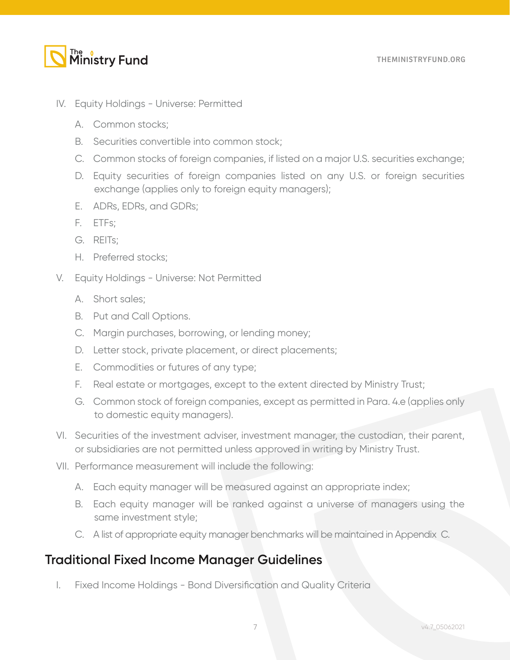# The o<br>**Ministry Fund**

- IV. Equity Holdings Universe: Permitted
	- A. Common stocks;
	- B. Securities convertible into common stock;
	- C. Common stocks of foreign companies, if listed on a major U.S. securities exchange;
	- D. Equity securities of foreign companies listed on any U.S. or foreign securities exchange (applies only to foreign equity managers);
	- E. ADRs, EDRs, and GDRs;
	- F. ETFs;
	- G. REITs;
	- H. Preferred stocks;
- V. Equity Holdings Universe: Not Permitted
	- A. Short sales;
	- B. Put and Call Options.
	- C. Margin purchases, borrowing, or lending money;
	- D. Letter stock, private placement, or direct placements;
	- E. Commodities or futures of any type;
	- F. Real estate or mortgages, except to the extent directed by Ministry Trust;
	- G. Common stock of foreign companies, except as permitted in Para. 4.e (applies only to domestic equity managers).
- VI. Securities of the investment adviser, investment manager, the custodian, their parent, or subsidiaries are not permitted unless approved in writing by Ministry Trust.
- VII. Performance measurement will include the following:
	- A. Each equity manager will be measured against an appropriate index;
	- B. Each equity manager will be ranked against a universe of managers using the same investment style;
	- C. A list of appropriate equity manager benchmarks will be maintained in Appendix C.

# **Traditional Fixed Income Manager Guidelines**

I. Fixed Income Holdings - Bond Diversification and Quality Criteria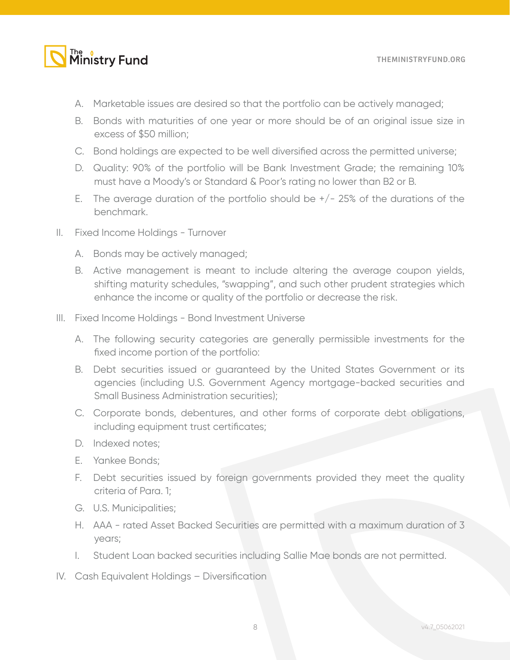# The ostry Fund

- A. Marketable issues are desired so that the portfolio can be actively managed;
- B. Bonds with maturities of one year or more should be of an original issue size in excess of \$50 million;
- C. Bond holdings are expected to be well diversified across the permitted universe;
- D. Quality: 90% of the portfolio will be Bank Investment Grade; the remaining 10% must have a Moody's or Standard & Poor's rating no lower than B2 or B.
- E. The average duration of the portfolio should be  $+/- 25\%$  of the durations of the benchmark.
- II. Fixed Income Holdings Turnover
	- A. Bonds may be actively managed;
	- B. Active management is meant to include altering the average coupon yields, shifting maturity schedules, "swapping", and such other prudent strategies which enhance the income or quality of the portfolio or decrease the risk.
- III. Fixed Income Holdings Bond Investment Universe
	- A. The following security categories are generally permissible investments for the fixed income portion of the portfolio:
	- B. Debt securities issued or guaranteed by the United States Government or its agencies (including U.S. Government Agency mortgage-backed securities and Small Business Administration securities);
	- C. Corporate bonds, debentures, and other forms of corporate debt obligations, including equipment trust certificates;
	- D. Indexed notes;
	- E. Yankee Bonds;
	- F. Debt securities issued by foreign governments provided they meet the quality criteria of Para. 1;
	- G. U.S. Municipalities;
	- H. AAA rated Asset Backed Securities are permitted with a maximum duration of 3 years;
	- I. Student Loan backed securities including Sallie Mae bonds are not permitted.
- IV. Cash Equivalent Holdings Diversification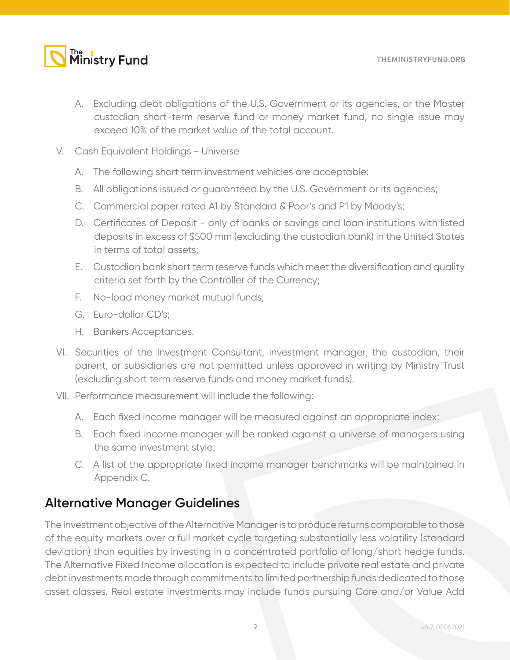# The o<br>Ministry Fund

- A. Excluding debt obligations of the U.S. Government or its agencies, or the Master custodian short-term reserve fund or money market fund, no single issue may exceed 10% of the market value of the total account.
- V. Cash Equivalent Holdings Universe
	- A. The following short term investment vehicles are acceptable:
	- B. All obligations issued or guaranteed by the U.S. Government or its agencies;
	- C. Commercial paper rated A1 by Standard & Poor's and P1 by Moody's;
	- D. Certificates of Deposit only of banks or savings and loan institutions with listed deposits in excess of \$500 mm (excluding the custodian bank) in the United States in terms of total assets;
	- E. Custodian bank short term reserve funds which meet the diversification and quality criteria set forth by the Controller of the Currency;
	- F. No-load money market mutual funds;
	- G. Euro-dollar CD's;
	- H. Bankers Acceptances.
- VI. Securities of the Investment Consultant, investment manager, the custodian, their parent, or subsidiaries are not permitted unless approved in writing by Ministry Trust (excluding short term reserve funds and money market funds).
- VII. Performance measurement will include the following:
	- A. Each fixed income manager will be measured against an appropriate index;
	- B. Each fixed income manager will be ranked against a universe of managers using the same investment style;
	- C. A list of the appropriate fixed income manager benchmarks will be maintained in Appendix C.

### **Alternative Manager Guidelines**

The investment objective of the Alternative Manager is to produce returns comparable to those of the equity markets over a full market cycle targeting substantially less volatility (standard deviation) than equities by investing in a concentrated portfolio of long/short hedge funds. The Alternative Fixed Income allocation is expected to include private real estate and private debt investments made through commitments to limited partnership funds dedicated to those asset classes. Real estate investments may include funds pursuing Core and/or Value Add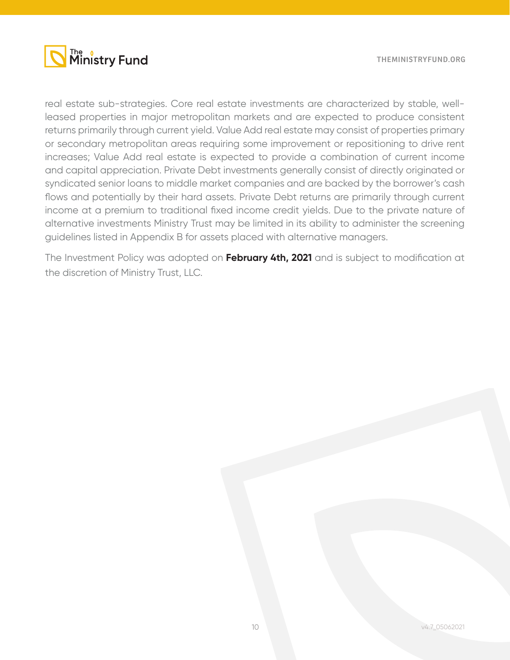

real estate sub-strategies. Core real estate investments are characterized by stable, wellleased properties in major metropolitan markets and are expected to produce consistent returns primarily through current yield. Value Add real estate may consist of properties primary or secondary metropolitan areas requiring some improvement or repositioning to drive rent increases; Value Add real estate is expected to provide a combination of current income and capital appreciation. Private Debt investments generally consist of directly originated or syndicated senior loans to middle market companies and are backed by the borrower's cash flows and potentially by their hard assets. Private Debt returns are primarily through current income at a premium to traditional fixed income credit yields. Due to the private nature of alternative investments Ministry Trust may be limited in its ability to administer the screening guidelines listed in Appendix B for assets placed with alternative managers.

The Investment Policy was adopted on **February 4th, 2021** and is subject to modification at the discretion of Ministry Trust, LLC.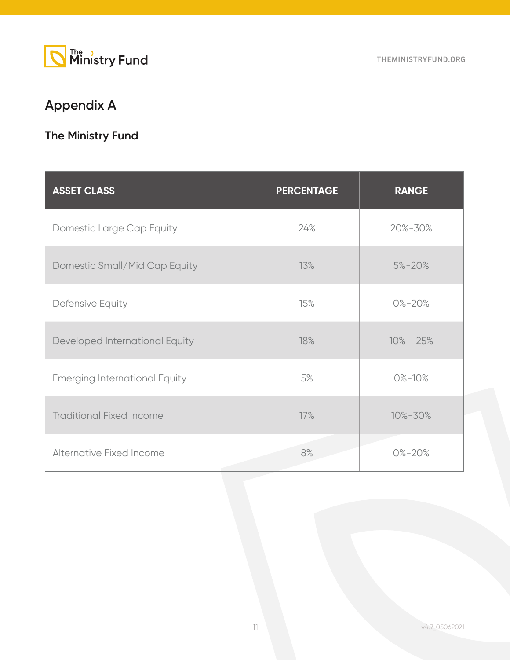

# **Appendix A**

# **The Ministry Fund**

| <b>ASSET CLASS</b>                   | <b>PERCENTAGE</b> | <b>RANGE</b>  |
|--------------------------------------|-------------------|---------------|
| Domestic Large Cap Equity            | 24%               | 20%-30%       |
| Domestic Small/Mid Cap Equity        | 13%               | $5\% - 20\%$  |
| Defensive Equity                     | 15%               | $0\% - 20\%$  |
| Developed International Equity       | 18%               | $10\% - 25\%$ |
| <b>Emerging International Equity</b> | 5%                | $0\% - 10\%$  |
| <b>Traditional Fixed Income</b>      | 17%               | 10%-30%       |
| Alternative Fixed Income             | 8%                | $0\% - 20\%$  |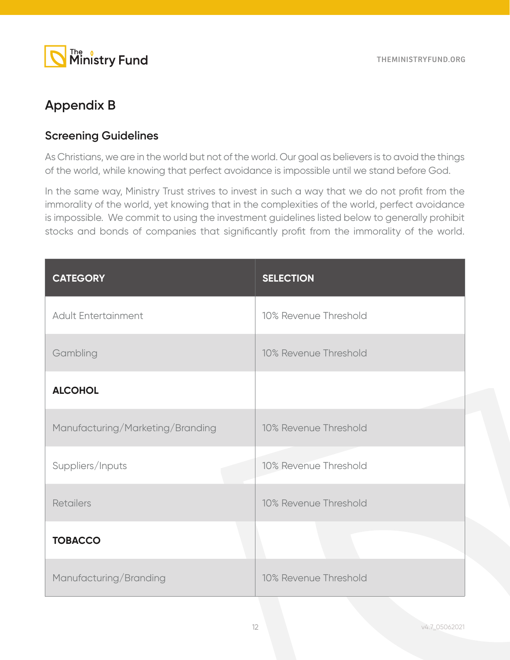

# **Appendix B**

### **Screening Guidelines**

As Christians, we are in the world but not of the world. Our goal as believers is to avoid the things of the world, while knowing that perfect avoidance is impossible until we stand before God.

In the same way, Ministry Trust strives to invest in such a way that we do not profit from the immorality of the world, yet knowing that in the complexities of the world, perfect avoidance is impossible. We commit to using the investment guidelines listed below to generally prohibit stocks and bonds of companies that significantly profit from the immorality of the world.

| <b>CATEGORY</b>                  | <b>SELECTION</b>      |
|----------------------------------|-----------------------|
| <b>Adult Entertainment</b>       | 10% Revenue Threshold |
| Gambling                         | 10% Revenue Threshold |
| <b>ALCOHOL</b>                   |                       |
| Manufacturing/Marketing/Branding | 10% Revenue Threshold |
| Suppliers/Inputs                 | 10% Revenue Threshold |
| <b>Retailers</b>                 | 10% Revenue Threshold |
| <b>TOBACCO</b>                   |                       |
| Manufacturing/Branding           | 10% Revenue Threshold |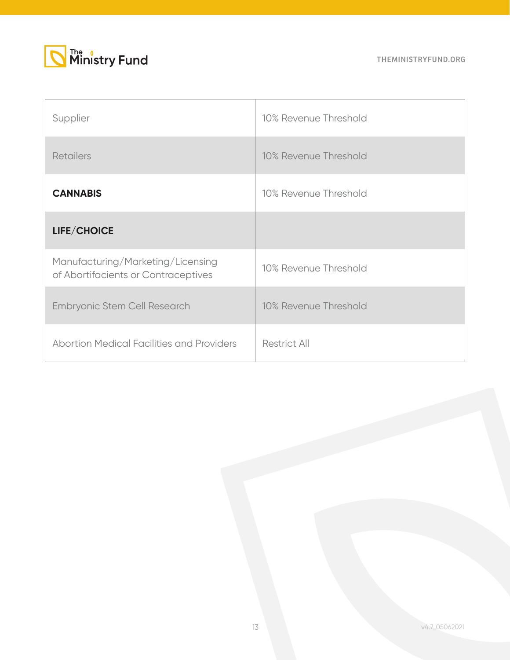



| Supplier                                                                 | 10% Revenue Threshold |
|--------------------------------------------------------------------------|-----------------------|
| <b>Retailers</b>                                                         | 10% Revenue Threshold |
| <b>CANNABIS</b>                                                          | 10% Revenue Threshold |
| LIFE/CHOICE                                                              |                       |
| Manufacturing/Marketing/Licensing<br>of Abortifacients or Contraceptives | 10% Revenue Threshold |
| <b>Embryonic Stem Cell Research</b>                                      | 10% Revenue Threshold |
| <b>Abortion Medical Facilities and Providers</b>                         | <b>Restrict All</b>   |